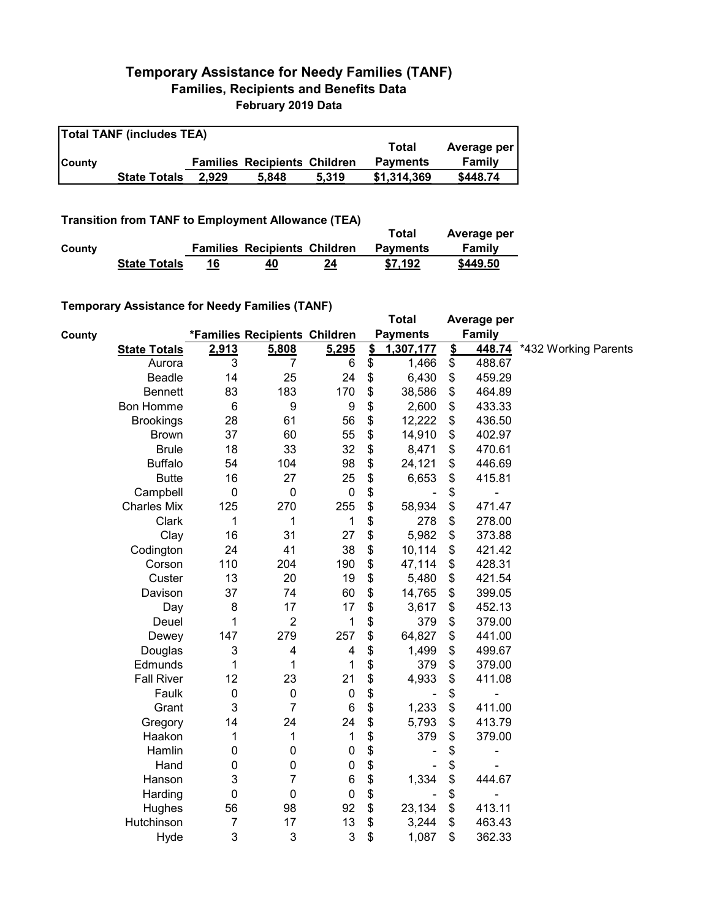## **Temporary Assistance for Needy Families (TANF) Families, Recipients and Benefits Data February 2019 Data**

| <b>Total TANF (includes TEA)</b> |                     |       |                                     |       |                 |             |  |  |  |
|----------------------------------|---------------------|-------|-------------------------------------|-------|-----------------|-------------|--|--|--|
|                                  |                     |       |                                     |       | Total           | Average per |  |  |  |
| <b>County</b>                    |                     |       | <b>Families Recipients Children</b> |       | <b>Payments</b> | Family      |  |  |  |
|                                  | <b>State Totals</b> | 2.929 | 5.848                               | 5.319 | \$1,314,369     | \$448.74    |  |  |  |

**Transition from TANF to Employment Allowance (TEA)**

|        |                     |                                     |    | Total           | Average per |
|--------|---------------------|-------------------------------------|----|-----------------|-------------|
| County |                     | <b>Families Recipients Children</b> |    | <b>Payments</b> | Family      |
|        | <b>State Totals</b> | 40                                  | 24 | \$7.192         | \$449.50    |

## **Temporary Assistance for Needy Families (TANF)**

|               | $1$ chiporary Assistance for Needy Families (TANT) |             |                               |                  |               | <b>Total</b>    |               | Average per              |                      |
|---------------|----------------------------------------------------|-------------|-------------------------------|------------------|---------------|-----------------|---------------|--------------------------|----------------------|
| <b>County</b> |                                                    |             | *Families Recipients Children |                  |               | <b>Payments</b> |               | <b>Family</b>            |                      |
|               | <b>State Totals</b>                                | 2,913       | 5,808                         | 5,295            | $\frac{2}{3}$ | 1,307,177       | $\frac{2}{3}$ | 448.74                   | *432 Working Parents |
|               | Aurora                                             | 3           | 7                             | 6                | \$            | 1,466           | \$            | 488.67                   |                      |
|               | Beadle                                             | 14          | 25                            | 24               | \$            | 6,430           | \$            | 459.29                   |                      |
|               | <b>Bennett</b>                                     | 83          | 183                           | 170              | \$            | 38,586          | \$            | 464.89                   |                      |
|               | <b>Bon Homme</b>                                   | 6           | $\boldsymbol{9}$              | $\boldsymbol{9}$ | \$            | 2,600           | \$            | 433.33                   |                      |
|               | <b>Brookings</b>                                   | 28          | 61                            | 56               | \$            | 12,222          | \$            | 436.50                   |                      |
|               | <b>Brown</b>                                       | 37          | 60                            | 55               | \$            | 14,910          | \$            | 402.97                   |                      |
|               | <b>Brule</b>                                       | 18          | 33                            | 32               | \$            | 8,471           | \$            | 470.61                   |                      |
|               | <b>Buffalo</b>                                     | 54          | 104                           | 98               | \$            | 24,121          | \$            | 446.69                   |                      |
|               | <b>Butte</b>                                       | 16          | 27                            | 25               | \$            | 6,653           | \$            | 415.81                   |                      |
|               | Campbell                                           | $\mathbf 0$ | $\mathbf 0$                   | $\mathbf 0$      | \$            |                 | \$            | $\overline{\phantom{0}}$ |                      |
|               | <b>Charles Mix</b>                                 | 125         | 270                           | 255              | \$            | 58,934          | \$            | 471.47                   |                      |
|               | Clark                                              | 1           | 1                             | 1                | \$            | 278             | \$            | 278.00                   |                      |
|               | Clay                                               | 16          | 31                            | 27               | \$            | 5,982           | \$            | 373.88                   |                      |
|               | Codington                                          | 24          | 41                            | 38               | \$            | 10,114          | \$            | 421.42                   |                      |
|               | Corson                                             | 110         | 204                           | 190              | \$            | 47,114          | \$            | 428.31                   |                      |
|               | Custer                                             | 13          | 20                            | 19               | \$            | 5,480           | \$            | 421.54                   |                      |
|               | Davison                                            | 37          | 74                            | 60               | \$            | 14,765          | \$            | 399.05                   |                      |
|               | Day                                                | 8           | 17                            | 17               | \$            | 3,617           | \$            | 452.13                   |                      |
|               | Deuel                                              | 1           | $\overline{2}$                | 1                | \$            | 379             | \$            | 379.00                   |                      |
|               | Dewey                                              | 147         | 279                           | 257              | \$            | 64,827          | \$            | 441.00                   |                      |
|               | Douglas                                            | 3           | 4                             | 4                | \$            | 1,499           | \$            | 499.67                   |                      |
|               | Edmunds                                            | 1           | 1                             | 1                | \$            | 379             | \$            | 379.00                   |                      |
|               | <b>Fall River</b>                                  | 12          | 23                            | 21               | \$            | 4,933           | \$            | 411.08                   |                      |
|               | Faulk                                              | $\pmb{0}$   | $\pmb{0}$                     | $\mathbf 0$      | \$            |                 | \$            | $\overline{a}$           |                      |
|               | Grant                                              | 3           | $\overline{7}$                | $\,6$            | \$            | 1,233           | \$            | 411.00                   |                      |
|               | Gregory                                            | 14          | 24                            | 24               | \$            | 5,793           | \$            | 413.79                   |                      |
|               | Haakon                                             | 1           | 1                             | 1                | \$            | 379             | \$            | 379.00                   |                      |
|               | Hamlin                                             | 0           | 0                             | $\pmb{0}$        | \$            |                 | \$            |                          |                      |
|               | Hand                                               | 0           | 0                             | $\pmb{0}$        | \$            |                 | \$            |                          |                      |
|               | Hanson                                             | 3           | $\overline{7}$                | $6\phantom{1}6$  | \$            | 1,334           | \$            | 444.67                   |                      |
|               | Harding                                            | 0           | $\mathbf 0$                   | $\mathbf 0$      | \$            |                 | \$            | ÷                        |                      |
|               | Hughes                                             | 56          | 98                            | 92               | \$            | 23,134          | \$            | 413.11                   |                      |
|               | Hutchinson                                         | 7           | 17                            | 13               | \$            | 3,244           | \$            | 463.43                   |                      |
|               | Hyde                                               | 3           | 3                             | 3                | \$            | 1,087           | \$            | 362.33                   |                      |